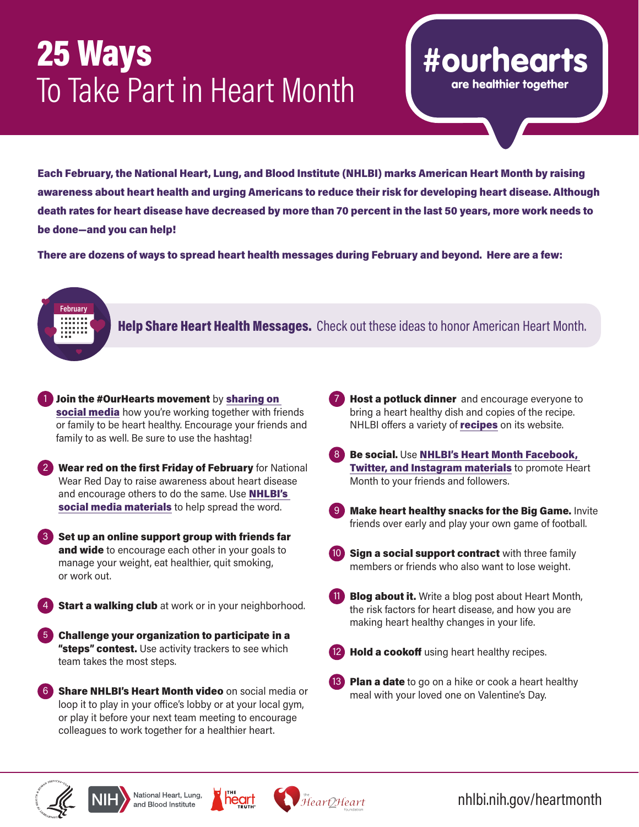## 25 Ways<br>To Take Part in Heart Month

Each February, the National Heart, Lung, and Blood Institute (NHLBI) marks American Heart Month by raising awareness about heart health and urging Americans to reduce their risk for developing heart disease. Although death rates for heart disease have decreased by more than 70 percent in the last 50 years, more work needs to be done—and you can help!

There are dozens of ways to spread heart health messages during February and beyond. Here are a few:



Help Share Heart Health Messages. Check out these ideas to honor American Heart Month.

- **Join the #OurHearts movement by sharing on** [social media](http://www.nhlbi.nih.gov/ourhearts) how you're working together with friends or family to be heart healthy. Encourage your friends and family to as well. Be sure to use the hashtag!
- Wear red on the first Friday of February for National Wear Red Day to raise awareness about heart disease and encourage others to do the same. Use **NHLBI's** [social media materials](https://www.nhlbi.nih.gov/health-topics/education-and-awareness/heart-month) to help spread the word.
- Set up an online support group with friends far and wide to encourage each other in your goals to manage your weight, eat healthier, quit smoking, or work out.
- **Start a walking club** at work or in your neighborhood.
- 5 Challenge your organization to participate in a "steps" contest. Use activity trackers to see which team takes the most steps.
- **Share [NHLBI's Heart Month video](https://www.nhlbi.nih.gov/health-topics/education-and-awareness/heart-month#partner-toolkit)** on social media or loop it to play in your office's lobby or at your local gym, or play it before your next team meeting to encourage colleagues to work together for a healthier heart.

**7** Host a potluck dinner and encourage everyone to bring a heart healthy dish and copies of the recipe. NHLBI offers a variety of **[recipes](https://www.nhlbi.nih.gov/health/educational/lose_wt/eat/recipes.htm)** on its website.

#ourhearts

are healthier together

- 8 Be social. Use NHLBI's Heart Month Facebook, **[Twitter, and Instagram materials](https://www.nhlbi.nih.gov/health-topics/education-and-awareness/heart-month#partner-toolkit) to promote Heart** Month to your friends and followers.
- 9 Make heart healthy snacks for the Big Game. Invite friends over early and play your own game of football.
- Sign a social support contract with three family members or friends who also want to lose weight.
- **Blog about it.** Write a blog post about Heart Month, the risk factors for heart disease, and how you are making heart healthy changes in your life.
- Hold a cookoff using heart healthy recipes.
- **13** Plan a date to go on a hike or cook a heart healthy meal with your loved one on Valentine's Day.







nhlbi.nih.gov/heartmonth